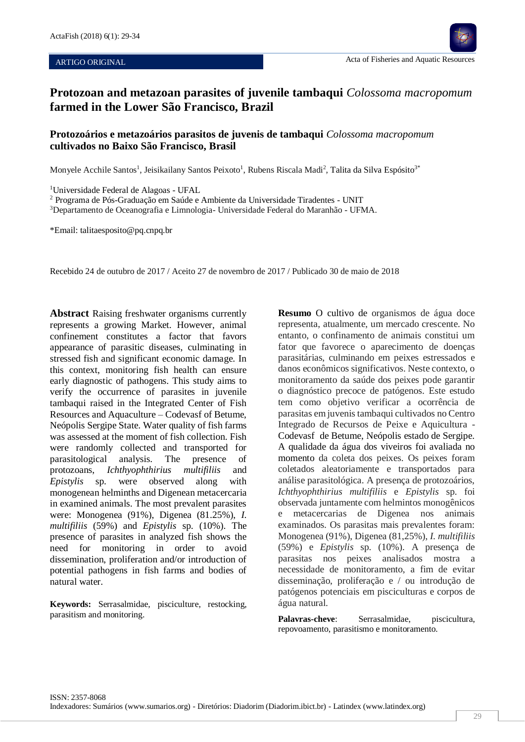#### ARTIGO ORIGINAL

# **Protozoan and metazoan parasites of juvenile tambaqui** *Colossoma macropomum* **farmed in the Lower São Francisco, Brazil**

# **Protozoários e metazoários parasitos de juvenis de tambaqui** *Colossoma macropomum*  **cultivados no Baixo São Francisco, Brasil**

Monyele Acchile Santos<sup>1</sup>, Jeisikailany Santos Peixoto<sup>1</sup>, Rubens Riscala Madi<sup>2</sup>, Talita da Silva Espósito<sup>3\*</sup>

<sup>1</sup>Universidade Federal de Alagoas - UFAL

Ī

<sup>2</sup> Programa de Pós-Graduação em Saúde e Ambiente da Universidade Tiradentes - UNIT

<sup>3</sup>Departamento de Oceanografia e Limnologia- Universidade Federal do Maranhão - UFMA.

\*Email: talitaesposito@pq.cnpq.br

Recebido 24 de outubro de 2017 / Aceito 27 de novembro de 2017 / Publicado 30 de maio de 2018

**Abstract** Raising freshwater organisms currently represents a growing Market. However, animal confinement constitutes a factor that favors appearance of parasitic diseases, culminating in stressed fish and significant economic damage. In this context, monitoring fish health can ensure early diagnostic of pathogens. This study aims to verify the occurrence of parasites in juvenile tambaqui raised in the Integrated Center of Fish Resources and Aquaculture – Codevasf of Betume, Neópolis Sergipe State. Water quality of fish farms was assessed at the moment of fish collection. Fish were randomly collected and transported for parasitological analysis. The presence of protozoans, *Ichthyophthirius multifiliis* and *Epistylis* sp. were observed along with monogenean helminths and Digenean metacercaria in examined animals. The most prevalent parasites were: Monogenea (91%), Digenea (81.25%), *I. multifiliis* (59%) and *Epistylis* sp. (10%). The presence of parasites in analyzed fish shows the need for monitoring in order to avoid dissemination, proliferation and/or introduction of potential pathogens in fish farms and bodies of natural water.

**Keywords:** Serrasalmidae, pisciculture, restocking, parasitism and monitoring.

**Resumo** O cultivo de organismos de água doce representa, atualmente, um mercado crescente. No entanto, o confinamento de animais constitui um fator que favorece o aparecimento de doenças parasitárias, culminando em peixes estressados e danos econômicos significativos. Neste contexto, o monitoramento da saúde dos peixes pode garantir o diagnóstico precoce de patógenos. Este estudo tem como objetivo verificar a ocorrência de parasitas em juvenis tambaqui cultivados no Centro Integrado de Recursos de Peixe e Aquicultura - Codevasf de Betume, Neópolis estado de Sergipe. A qualidade da água dos viveiros foi avaliada no momento da coleta dos peixes. Os peixes foram coletados aleatoriamente e transportados para análise parasitológica. A presença de protozoários, *Ichthyophthirius multifiliis* e *Epistylis* sp. foi observada juntamente com helmintos monogênicos e metacercarias de Digenea nos animais examinados. Os parasitas mais prevalentes foram: Monogenea (91%), Digenea (81,25%), *I. multifiliis* (59%) e *Epistylis* sp. (10%). A presença de parasitas nos peixes analisados mostra a necessidade de monitoramento, a fim de evitar disseminação, proliferação e / ou introdução de patógenos potenciais em pisciculturas e corpos de água natural.

Palavras-cheve: Serrasalmidae, piscicultura, repovoamento, parasitismo e monitoramento.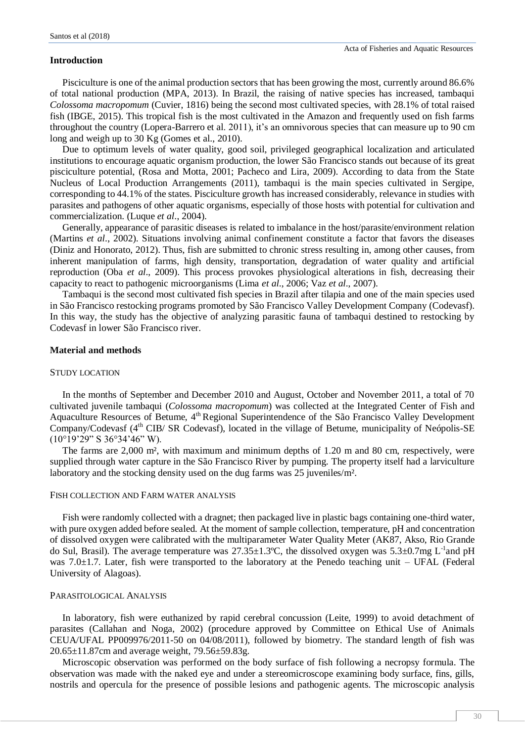#### **Introduction**

Pisciculture is one of the animal production sectors that has been growing the most, currently around 86.6% of total national production (MPA, 2013). In Brazil, the raising of native species has increased, tambaqui *Colossoma macropomum* (Cuvier, 1816) being the second most cultivated species, with 28.1% of total raised fish (IBGE, 2015). This tropical fish is the most cultivated in the Amazon and frequently used on fish farms throughout the country (Lopera-Barrero et al. 2011), it's an omnivorous species that can measure up to 90 cm long and weigh up to 30 Kg (Gomes et al., 2010).

Due to optimum levels of water quality, good soil, privileged geographical localization and articulated institutions to encourage aquatic organism production, the lower São Francisco stands out because of its great pisciculture potential, (Rosa and Motta, 2001; Pacheco and Lira, 2009). According to data from the State Nucleus of Local Production Arrangements (2011), tambaqui is the main species cultivated in Sergipe, corresponding to 44.1% of the states. Pisciculture growth has increased considerably, relevance in studies with parasites and pathogens of other aquatic organisms, especially of those hosts with potential for cultivation and commercialization. (Luque *et al*., 2004).

Generally, appearance of parasitic diseases is related to imbalance in the host/parasite/environment relation (Martins *et al*., 2002). Situations involving animal confinement constitute a factor that favors the diseases (Diniz and Honorato, 2012). Thus, fish are submitted to chronic stress resulting in, among other causes, from inherent manipulation of farms, high density, transportation, degradation of water quality and artificial reproduction (Oba *et al*., 2009). This process provokes physiological alterations in fish, decreasing their capacity to react to pathogenic microorganisms (Lima *et al*., 2006; Vaz *et al*., 2007).

Tambaqui is the second most cultivated fish species in Brazil after tilapia and one of the main species used in São Francisco restocking programs promoted by São Francisco Valley Development Company (Codevasf). In this way, the study has the objective of analyzing parasitic fauna of tambaqui destined to restocking by Codevasf in lower São Francisco river.

## **Material and methods**

#### STUDY LOCATION

In the months of September and December 2010 and August, October and November 2011, a total of 70 cultivated juvenile tambaqui (*Colossoma macropomum*) was collected at the Integrated Center of Fish and Aquaculture Resources of Betume, 4<sup>th</sup> Regional Superintendence of the São Francisco Valley Development Company/Codevasf (4<sup>th</sup> CIB/ SR Codevasf), located in the village of Betume, municipality of Neópolis-SE (10°19'29" S 36°34'46" W).

The farms are 2,000 m², with maximum and minimum depths of 1.20 m and 80 cm, respectively, were supplied through water capture in the São Francisco River by pumping. The property itself had a larviculture laboratory and the stocking density used on the dug farms was 25 juveniles/m².

# FISH COLLECTION AND FARM WATER ANALYSIS

Fish were randomly collected with a dragnet; then packaged live in plastic bags containing one-third water, with pure oxygen added before sealed. At the moment of sample collection, temperature, pH and concentration of dissolved oxygen were calibrated with the multiparameter Water Quality Meter (AK87, Akso, Rio Grande do Sul, Brasil). The average temperature was  $27.35 \pm 1.3$ °C, the dissolved oxygen was  $5.3 \pm 0.7$ mg L<sup>-1</sup>and pH was 7.0±1.7. Later, fish were transported to the laboratory at the Penedo teaching unit – UFAL (Federal University of Alagoas).

#### PARASITOLOGICAL ANALYSIS

In laboratory, fish were euthanized by rapid cerebral concussion (Leite, 1999) to avoid detachment of parasites (Callahan and Noga, 2002) (procedure approved by Committee on Ethical Use of Animals CEUA/UFAL PP009976/2011-50 on 04/08/2011), followed by biometry. The standard length of fish was 20.65±11.87cm and average weight, 79.56±59.83g.

Microscopic observation was performed on the body surface of fish following a necropsy formula. The observation was made with the naked eye and under a stereomicroscope examining body surface, fins, gills, nostrils and opercula for the presence of possible lesions and pathogenic agents. The microscopic analysis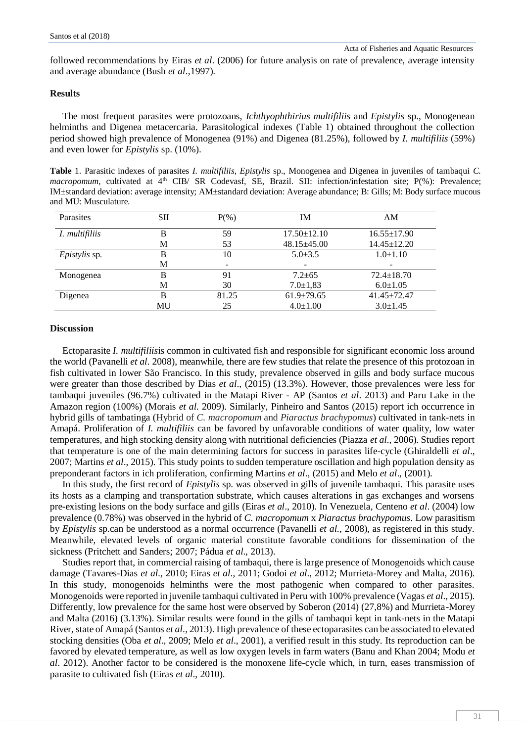followed recommendations by Eiras *et al*. (2006) for future analysis on rate of prevalence, average intensity and average abundance (Bush *et al*.,1997).

# **Results**

The most frequent parasites were protozoans, *Ichthyophthirius multifiliis* and *Epistylis* sp., Monogenean helminths and Digenea metacercaria. Parasitological indexes (Table 1) obtained throughout the collection period showed high prevalence of Monogenea (91%) and Digenea (81.25%), followed by *I. multifiliis* (59%) and even lower for *Epistylis* sp. (10%).

**Table** 1. Parasitic indexes of parasites *I. multifiliis*, *Epistylis* sp., Monogenea and Digenea in juveniles of tambaqui *C. macropomum*, cultivated at 4<sup>th</sup> CIB/ SR Codevasf, SE, Brazil. SII: infection/infestation site; P(%): Prevalence; IM±standard deviation: average intensity; AM±standard deviation: Average abundance; B: Gills; M: Body surface mucous and MU: Musculature.

| Parasites            | SП | $P(\% )$ | IΜ                | AM                |
|----------------------|----|----------|-------------------|-------------------|
| I. multifiliis       | в  | 59       | $17.50 \pm 12.10$ | $16.55 \pm 17.90$ |
|                      | М  | 53       | 48.15±45.00       | $14.45 \pm 12.20$ |
| <i>Epistylis</i> sp. | в  | 10       | $5.0 \pm 3.5$     | $1.0 \pm 1.10$    |
|                      | М  |          |                   |                   |
| Monogenea            | B  | 91       | $7.2 \pm 65$      | $72.4 \pm 18.70$  |
|                      | М  | 30       | $7.0 \pm 1.83$    | $6.0 \pm 1.05$    |
| Digenea              | в  | 81.25    | $61.9 \pm 79.65$  | $41.45 + 72.47$   |
|                      | MU | 25       | $4.0 \pm 1.00$    | $3.0 \pm 1.45$    |

#### **Discussion**

Ectoparasite *I. multifiliis*is common in cultivated fish and responsible for significant economic loss around the world (Pavanelli *et al*. 2008), meanwhile, there are few studies that relate the presence of this protozoan in fish cultivated in lower São Francisco. In this study, prevalence observed in gills and body surface mucous were greater than those described by Dias *et al*., (2015) (13.3%). However, those prevalences were less for tambaqui juveniles (96.7%) cultivated in the Matapi River - AP (Santos *et al*. 2013) and Paru Lake in the Amazon region (100%) (Morais *et al*. 2009). Similarly, Pinheiro and Santos (2015) report ich occurrence in hybrid gills of tambatinga (Hybrid of *C. macropomum* and *Piaractus brachypomus*) cultivated in tank-nets in Amapá. Proliferation of *I. multifiliis* can be favored by unfavorable conditions of water quality, low water temperatures, and high stocking density along with nutritional deficiencies (Piazza *et al*., 2006). Studies report that temperature is one of the main determining factors for success in parasites life-cycle (Ghiraldelli *et al*., 2007; Martins *et al*., 2015). This study points to sudden temperature oscillation and high population density as preponderant factors in ich proliferation, confirming Martins *et al*., (2015) and Melo *et al*., (2001).

In this study, the first record of *Epistylis* sp. was observed in gills of juvenile tambaqui. This parasite uses its hosts as a clamping and transportation substrate, which causes alterations in gas exchanges and worsens pre-existing lesions on the body surface and gills (Eiras *et al*., 2010). In Venezuela, Centeno *et al*. (2004) low prevalence (0.78%) was observed in the hybrid of *C. macropomum* x *Piaractus brachypomus*. Low parasitism by *Epistylis* sp.can be understood as a normal occurrence (Pavanelli *et al*., 2008), as registered in this study. Meanwhile, elevated levels of organic material constitute favorable conditions for dissemination of the sickness (Pritchett and Sanders; 2007; Pádua *et al*., 2013).

Studies report that, in commercial raising of tambaqui, there is large presence of Monogenoids which cause damage (Tavares-Dias *et al*., 2010; Eiras *et al*., 2011; Godoi *et al*., 2012; Murrieta-Morey and Malta, 2016). In this study, monogenoids helminths were the most pathogenic when compared to other parasites. Monogenoids were reported in juvenile tambaqui cultivated in Peru with 100% prevalence (Vagas *et al*., 2015). Differently, low prevalence for the same host were observed by Soberon (2014) (27,8%) and Murrieta-Morey and Malta (2016) (3.13%). Similar results were found in the gills of tambaqui kept in tank-nets in the Matapi River, state of Amapá (Santos *et al*., 2013). High prevalence of these ectoparasites can be associated to elevated stocking densities (Oba *et al*., 2009; Melo *et al*., 2001), a verified result in this study. Its reproduction can be favored by elevated temperature, as well as low oxygen levels in farm waters (Banu and Khan 2004; Modu *et al*. 2012). Another factor to be considered is the monoxene life-cycle which, in turn, eases transmission of parasite to cultivated fish (Eiras *et al*., 2010).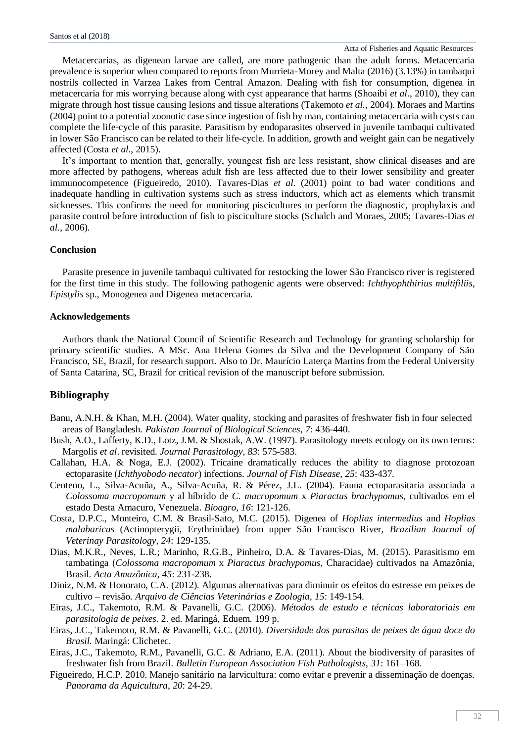Metacercarias, as digenean larvae are called, are more pathogenic than the adult forms. Metacercaria prevalence is superior when compared to reports from Murrieta-Morey and Malta (2016) (3.13%) in tambaqui nostrils collected in Varzea Lakes from Central Amazon. Dealing with fish for consumption, digenea in metacercaria for mis worrying because along with cyst appearance that harms (Shoaibi *et al*., 2010), they can migrate through host tissue causing lesions and tissue alterations (Takemoto *et al.,* 2004). Moraes and Martins (2004) point to a potential zoonotic case since ingestion of fish by man, containing metacercaria with cysts can complete the life-cycle of this parasite. Parasitism by endoparasites observed in juvenile tambaqui cultivated in lower São Francisco can be related to their life-cycle. In addition, growth and weight gain can be negatively affected (Costa *et al*., 2015).

It's important to mention that, generally, youngest fish are less resistant, show clinical diseases and are more affected by pathogens, whereas adult fish are less affected due to their lower sensibility and greater immunocompetence (Figueiredo, 2010). Tavares-Dias *et al*. (2001) point to bad water conditions and inadequate handling in cultivation systems such as stress inductors, which act as elements which transmit sicknesses. This confirms the need for monitoring piscicultures to perform the diagnostic, prophylaxis and parasite control before introduction of fish to pisciculture stocks (Schalch and Moraes, 2005; Tavares-Dias *et al*., 2006).

# **Conclusion**

Parasite presence in juvenile tambaqui cultivated for restocking the lower São Francisco river is registered for the first time in this study. The following pathogenic agents were observed: *Ichthyophthirius multifiliis*, *Epistylis* sp., Monogenea and Digenea metacercaria.

# **Acknowledgements**

Authors thank the National Council of Scientific Research and Technology for granting scholarship for primary scientific studies. A MSc. Ana Helena Gomes da Silva and the Development Company of São Francisco, SE, Brazil, for research support. Also to Dr. Maurício Laterça Martins from the Federal University of Santa Catarina, SC, Brazil for critical revision of the manuscript before submission.

# **Bibliography**

- Banu, A.N.H. & Khan, M.H. (2004). Water quality, stocking and parasites of freshwater fish in four selected areas of Bangladesh*. Pakistan Journal of Biological Sciences*, *7*: 436-440.
- Bush, A.O., Lafferty, K.D., Lotz, J.M. & Shostak, A.W. (1997). Parasitology meets ecology on its own terms: Margolis *et al*. revisited. *Journal Parasitology*, *83*: 575-583.
- Callahan, H.A. & Noga, E.J. (2002). Tricaine dramatically reduces the ability to diagnose protozoan ectoparasite (*Ichthyobodo necator*) infections. *Journal of Fish Disease*, *25*: 433-437.
- Centeno, L., Silva-Acuña, A., Silva-Acuña, R. & Pérez, J.L. (2004). Fauna ectoparasitaria associada a *Colossoma macropomum* y al híbrido de *C. macropomum* x *Piaractus brachypomus*, cultivados em el estado Desta Amacuro, Venezuela. *Bioagro*, *16*: 121-126.
- Costa, D.P.C., Monteiro, C.M. & Brasil-Sato, M.C. (2015). Digenea of *Hoplias intermedius* and *Hoplias malabaricus* (Actinopterygii, Erythrinidae) from upper São Francisco River, *Brazilian Journal of Veterinay Parasitology*, *24*: 129-135.
- Dias, M.K.R., Neves, L.R.; Marinho, R.G.B., Pinheiro, D.A. & Tavares-Dias, M. (2015). Parasitismo em tambatinga (*Colossoma macropomum* x *Piaractus brachypomus*, Characidae) cultivados na Amazônia, Brasil. *Acta Amazônica*, *45*: 231-238.
- Diniz, N.M. & Honorato, C.A. (2012). Algumas alternativas para diminuir os efeitos do estresse em peixes de cultivo – revisão. *Arquivo de Ciências Veterinárias e Zoologia*, *15*: 149-154.
- Eiras, J.C., Takemoto, R.M. & Pavanelli, G.C. (2006). *Métodos de estudo e técnicas laboratoriais em parasitologia de peixes*. 2. ed. Maringá, Eduem. 199 p.
- Eiras, J.C., Takemoto, R.M. & Pavanelli, G.C. (2010). *Diversidade dos parasitas de peixes de água doce do Brasil*. Maringá: Clichetec.
- Eiras, J.C., Takemoto, R.M., Pavanelli, G.C. & Adriano, E.A. (2011). About the biodiversity of parasites of freshwater fish from Brazil. *Bulletin European Association Fish Pathologists*, *31*: 161–168.
- Figueiredo, H.C.P. 2010. Manejo sanitário na larvicultura: como evitar e prevenir a disseminação de doenças. *Panorama da Aquicultura*, *20*: 24-29.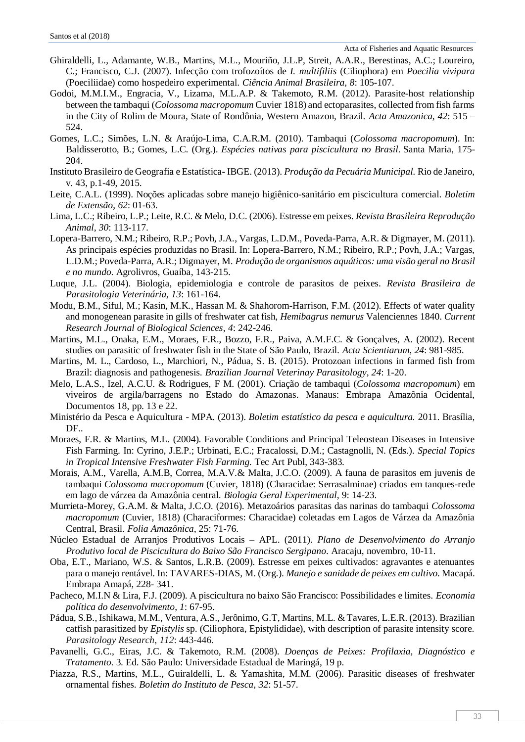Acta of Fisheries and Aquatic Resources

- Ghiraldelli, L., Adamante, W.B., Martins, M.L., Mouriño, J.L.P, Streit, A.A.R., Berestinas, A.C.; Loureiro, C.; Francisco, C.J. (2007). Infecção com trofozoítos de *I. multifiliis* (Ciliophora) em *Poecilia vivipara*  (Poeciliidae) como hospedeiro experimental. *Ciência Animal Brasileira, 8*: 105-107.
- Godoi, M.M.I.M., Engracia, V., Lizama, M.L.A.P. & Takemoto, R.M. (2012). Parasite-host relationship between the tambaqui (*Colossoma macropomum* Cuvier 1818) and ectoparasites, collected from fish farms in the City of Rolim de Moura, State of Rondônia, Western Amazon, Brazil. *Acta Amazonica*, *42*: 515 – 524.
- Gomes, L.C.; Simões, L.N. & Araújo-Lima, C.A.R.M. (2010). Tambaqui (*Colossoma macropomum*). In: Baldisserotto, B.; Gomes, L.C. (Org.). *Espécies nativas para piscicultura no Brasil*. Santa Maria, 175- 204.
- Instituto Brasileiro de Geografia e Estatística- IBGE. (2013). *Produção da Pecuária Municipal.* Rio de Janeiro, v. 43, p.1-49, 2015.
- Leite, C.A.L. (1999). Noções aplicadas sobre manejo higiênico-sanitário em piscicultura comercial. *Boletim de Extensão*, *62*: 01-63.
- Lima, L.C.; Ribeiro, L.P.; Leite, R.C. & Melo, D.C. (2006). Estresse em peixes. *Revista Brasileira Reprodução Animal*, *30*: 113-117.
- Lopera-Barrero, N.M.; Ribeiro, R.P.; Povh, J.A., Vargas, L.D.M., Poveda-Parra, A.R. & Digmayer, M. (2011). As principais espécies produzidas no Brasil. In: Lopera-Barrero, N.M.; Ribeiro, R.P.; Povh, J.A.; Vargas, L.D.M.; Poveda-Parra, A.R.; Digmayer, M. *Produção de organismos aquáticos: uma visão geral no Brasil e no mundo*. Agrolivros, Guaíba, 143-215.
- Luque, J.L. (2004). Biologia, epidemiologia e controle de parasitos de peixes. *Revista Brasileira de Parasitologia Veterinária*, *13*: 161-164.
- Modu, B.M., Siful, M.; Kasin, M.K., Hassan M. & Shahorom-Harrison, F.M. (2012). Effects of water quality and monogenean parasite in gills of freshwater cat fish, *Hemibagrus nemurus* Valenciennes 1840. *Current Research Journal of Biological Sciences*, *4*: 242-246.
- Martins, M.L., Onaka, E.M., Moraes, F.R., Bozzo, F.R., Paiva, A.M.F.C. & Gonçalves, A. (2002). Recent studies on parasitic of freshwater fish in the State of São Paulo, Brazil. *Acta Scientiarum*, *24*: 981-985.
- Martins, M. L., Cardoso, L., Marchiori, N., Pádua, S. B. (2015). Protozoan infections in farmed fish from Brazil: diagnosis and pathogenesis. *Brazilian Journal Veterinay Parasitology*, *24*: 1-20.
- Melo, L.A.S., Izel, A.C.U. & Rodrigues, F M. (2001). Criação de tambaqui (*Colossoma macropomum*) em viveiros de argila/barragens no Estado do Amazonas. Manaus: Embrapa Amazônia Ocidental, Documentos 18, pp. 13 e 22.
- Ministério da Pesca e Aquicultura MPA. (2013). *Boletim estatístico da pesca e aquicultura.* 2011. Brasília, DF..
- Moraes, F.R. & Martins, M.L. (2004). Favorable Conditions and Principal Teleostean Diseases in Intensive Fish Farming. In: Cyrino, J.E.P.; Urbinati, E.C.; Fracalossi, D.M.; Castagnolli, N. (Eds.). *Special Topics in Tropical Intensive Freshwater Fish Farming.* Tec Art Publ, 343-383.
- Morais, A.M., Varella, A.M.B, Correa, M.A.V.& Malta, J.C.O. (2009). A fauna de parasitos em juvenis de tambaqui *Colossoma macropomum* (Cuvier, 1818) (Characidae: Serrasalminae) criados em tanques-rede em lago de várzea da Amazônia central. *Biologia Geral Experimental*, 9: 14-23.
- Murrieta-Morey, G.A.M. & Malta, J.C.O. (2016). Metazoários parasitas das narinas do tambaqui *Colossoma macropomum* (Cuvier, 1818) (Characiformes: Characidae) coletadas em Lagos de Várzea da Amazônia Central, Brasil. *Folia Amazônica*, 25: 71-76.
- Núcleo Estadual de Arranjos Produtivos Locais APL. (2011). *Plano de Desenvolvimento do Arranjo Produtivo local de Piscicultura do Baixo São Francisco Sergipano*. Aracaju, novembro, 10-11.
- Oba, E.T., Mariano, W.S. & Santos, L.R.B. (2009). Estresse em peixes cultivados: agravantes e atenuantes para o manejo rentável. In: TAVARES-DIAS, M. (Org.). *Manejo e sanidade de peixes em cultivo*. Macapá. Embrapa Amapá, 228- 341.
- Pacheco, M.I.N & Lira, F.J. (2009). A piscicultura no baixo São Francisco: Possibilidades e limites. *Economia política do desenvolvimento*, *1*: 67-95.
- Pádua, S.B., Ishikawa, M.M., Ventura, A.S., Jerônimo, G.T, Martins, M.L. & Tavares, L.E.R. (2013). Brazilian catfish parasitized by *Epistylis* sp. (Ciliophora, Epistylididae), with description of parasite intensity score. *Parasitology Research*, *112*: 443-446.
- Pavanelli, G.C., Eiras, J.C. & Takemoto, R.M. (2008). *Doenças de Peixes: Profilaxia, Diagnóstico e Tratamento*. 3. Ed. São Paulo: Universidade Estadual de Maringá, 19 p.
- Piazza, R.S., Martins, M.L., Guiraldelli, L. & Yamashita, M.M. (2006). Parasitic diseases of freshwater ornamental fishes. *Boletim do Instituto de Pesca*, *32*: 51-57.